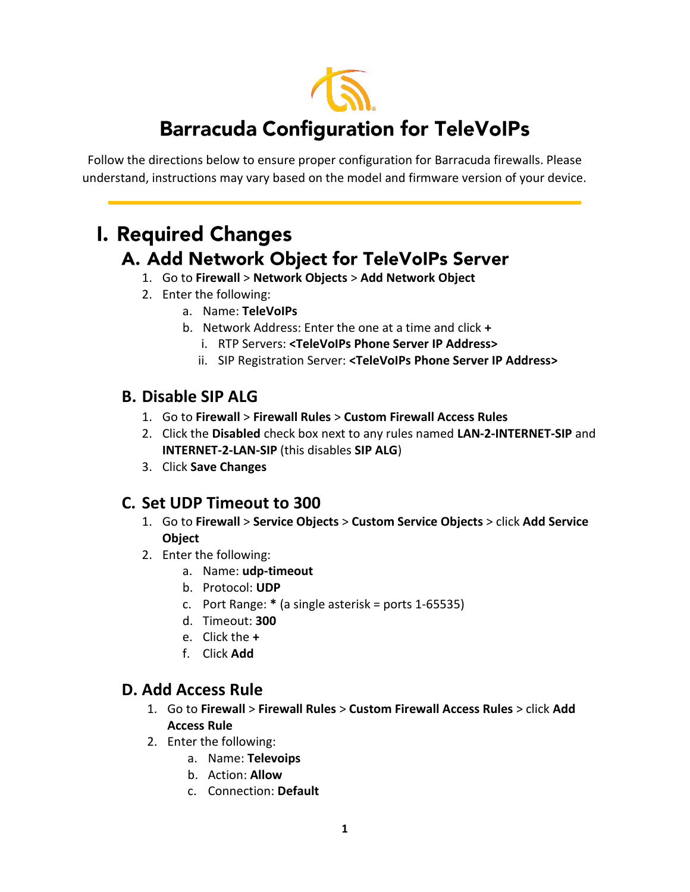

# **Barracuda Configuration for TeleVoIPs**

Follow the directions below to ensure proper configuration for Barracuda firewalls. Please understand, instructions may vary based on the model and firmware version of your device.

## **I. Required Changes** A. Add Network Object for TeleVoIPs Server

- 1. Go to **Firewall** > **Network Objects** > **Add Network Object**
- 2. Enter the following:
	- a. Name: **TeleVoIPs**
	- b. Network Address: Enter the one at a time and click **+**
		- i. RTP Servers: **<TeleVoIPs Phone Server IP Address>**
		- ii. SIP Registration Server: **<TeleVoIPs Phone Server IP Address>**

#### **B. Disable SIP ALG**

- 1. Go to **Firewall** > **Firewall Rules** > **Custom Firewall Access Rules**
- 2. Click the **Disabled** check box next to any rules named **LAN-2-INTERNET-SIP** and **INTERNET-2-LAN-SIP** (this disables **SIP ALG**)
- 3. Click **Save Changes**

### **C. Set UDP Timeout to 300**

- 1. Go to **Firewall** > **Service Objects** > **Custom Service Objects** > click **Add Service Object**
- 2. Enter the following:
	- a. Name: **udp-timeout**
	- b. Protocol: **UDP**
	- c. Port Range: **\*** (a single asterisk = ports 1-65535)
	- d. Timeout: **300**
	- e. Click the **+**
	- f. Click **Add**

#### **D. Add Access Rule**

- 1. Go to **Firewall** > **Firewall Rules** > **Custom Firewall Access Rules** > click **Add Access Rule**
- 2. Enter the following:
	- a. Name: **Televoips**
	- b. Action: **Allow**
	- c. Connection: **Default**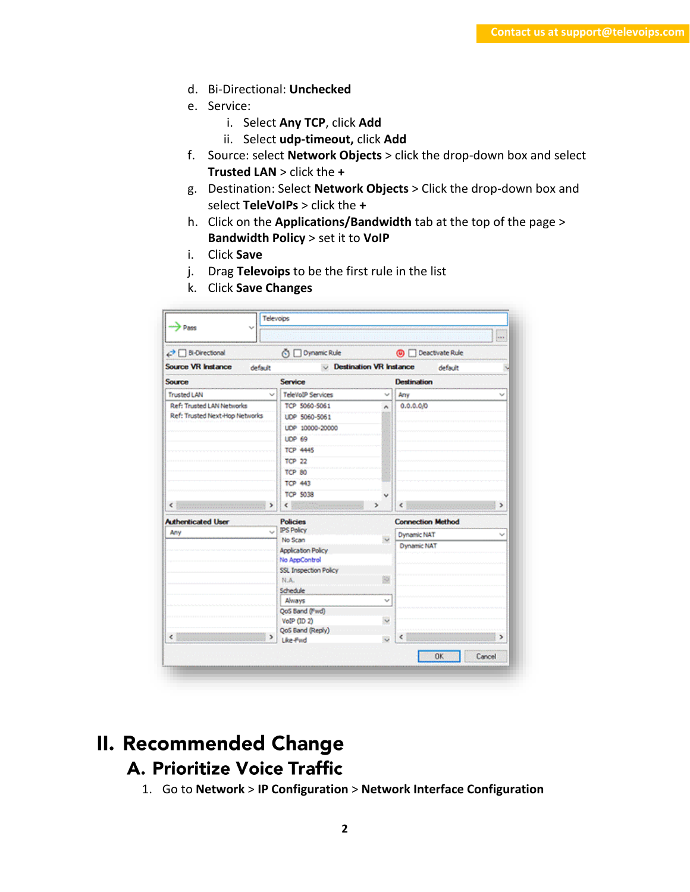- d. Bi-Directional: **Unchecked**
- e. Service:
	- i. Select **Any TCP**, click **Add**
	- ii. Select **udp-timeout,** click **Add**
- f. Source: select **Network Objects** > click the drop-down box and select **Trusted LAN** > click the **+**
- g. Destination: Select **Network Objects** > Click the drop-down box and select **TeleVoIPs** > click the **+**
- h. Click on the **Applications/Bandwidth** tab at the top of the page > **Bandwidth Policy** > set it to **VoIP**
- i. Click **Save**
- j. Drag **Televoips** to be the first rule in the list
- k. Click **Save Changes**

| $\rightarrow$ Pass                                          | Televoips    |                           |                                |                            |        |
|-------------------------------------------------------------|--------------|---------------------------|--------------------------------|----------------------------|--------|
|                                                             |              |                           |                                |                            | and.   |
| <b>D</b> Bi-Directional                                     |              | O Dynamic Rule            |                                | <b>(0)</b> Deactivate Rule |        |
| <b>Source VR Instance</b>                                   | default      |                           | <b>Destination VR Instance</b> | default                    |        |
| Source                                                      |              | <b>Service</b>            |                                | <b>Destination</b>         |        |
| <b>Trusted LAN</b>                                          | $\checkmark$ | <b>TeleVoIP Services</b>  | w                              | Any                        | w      |
| Ref: Trusted LAN Networks<br>Ref: Trusted Next Hop Networks |              | TCP 5060-5061             | ۸                              | 0.0.0.0/0                  |        |
|                                                             |              | UDP 5060-5061             |                                |                            |        |
|                                                             |              | UDP 10000-20000           |                                |                            |        |
|                                                             |              | <b>LIDP 69</b>            |                                |                            |        |
|                                                             |              | <b>TCP 4445</b>           |                                |                            |        |
|                                                             |              | <b>TCP 22</b>             |                                |                            |        |
|                                                             |              | <b>TCP 80</b>             |                                |                            |        |
|                                                             |              | <b>TCP 443</b>            |                                |                            |        |
|                                                             |              | <b>TCP 5038</b>           |                                |                            |        |
| ĸ.                                                          | >            | ¢                         | $\rightarrow$                  | Ł                          |        |
| <b>Authenticated User</b>                                   |              | <b>Policies</b>           |                                | <b>Connection Method</b>   |        |
| Any                                                         | u            | <b>IPS Policy</b>         |                                |                            |        |
|                                                             |              | No Scan                   |                                | Dynamic NAT                |        |
|                                                             |              | <b>Application Policy</b> |                                | Dynamic NAT                |        |
|                                                             |              | No AppControl             |                                |                            |        |
|                                                             |              | SSL Inspection Policy     |                                |                            |        |
| $\epsilon$ .                                                |              | N.A.                      |                                |                            |        |
|                                                             |              | Schedule                  |                                |                            |        |
|                                                             |              | Always                    | v                              |                            |        |
|                                                             |              | QoS Band (Fwd)            |                                |                            |        |
|                                                             |              | VolP (ID 2)               | $\checkmark$                   |                            |        |
|                                                             | $\mathbf{r}$ | QoS Band (Reply)          |                                | ∢                          | ъ      |
|                                                             |              | Like-Fwd                  | $\ddot{\phantom{0}}$           |                            |        |
|                                                             |              |                           |                                | <b>OK</b>                  | Cancel |

## **II. Recommended Change** A. Prioritize Voice Traffic

1. Go to **Network** > **IP Configuration** > **Network Interface Configuration**